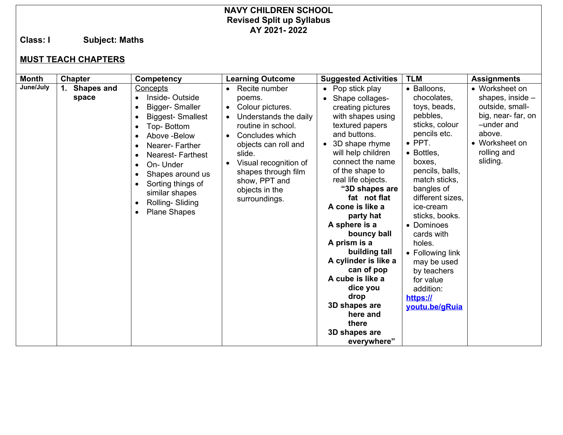## **NAVY CHILDREN SCHOOL Revised Split up Syllabus AY 2021- 2022**

**Class: I Subject: Maths**

## **MUST TEACH CHAPTERS**

| <b>Month</b> | <b>Chapter</b>         | Competency                                                                                                                                                                                                                                                                                                                            | <b>Learning Outcome</b>                                                                                                                                                                                                                                                       | <b>Suggested Activities</b>                                                                                                                                                                                                                                                                                                                                                                                                                                                                                 | <b>TLM</b>                                                                                                                                                                                                                                                                                                                                                                              | <b>Assignments</b>                                                                                                                              |
|--------------|------------------------|---------------------------------------------------------------------------------------------------------------------------------------------------------------------------------------------------------------------------------------------------------------------------------------------------------------------------------------|-------------------------------------------------------------------------------------------------------------------------------------------------------------------------------------------------------------------------------------------------------------------------------|-------------------------------------------------------------------------------------------------------------------------------------------------------------------------------------------------------------------------------------------------------------------------------------------------------------------------------------------------------------------------------------------------------------------------------------------------------------------------------------------------------------|-----------------------------------------------------------------------------------------------------------------------------------------------------------------------------------------------------------------------------------------------------------------------------------------------------------------------------------------------------------------------------------------|-------------------------------------------------------------------------------------------------------------------------------------------------|
| June/July    | 1. Shapes and<br>space | Concepts<br>Inside-Outside<br>$\bullet$<br>Bigger-Smaller<br><b>Biggest-Smallest</b><br>Top-Bottom<br>$\bullet$<br>Above -Below<br>Nearer-Farther<br><b>Nearest-Farthest</b><br>$\bullet$<br>On- Under<br>Shapes around us<br>Sorting things of<br>similar shapes<br>Rolling-Sliding<br>$\bullet$<br><b>Plane Shapes</b><br>$\bullet$ | Recite number<br>poems.<br>Colour pictures.<br>$\bullet$<br>Understands the daily<br>routine in school.<br>Concludes which<br>objects can roll and<br>slide.<br>Visual recognition of<br>$\bullet$<br>shapes through film<br>show, PPT and<br>objects in the<br>surroundings. | Pop stick play<br>Shape collages-<br>creating pictures<br>with shapes using<br>textured papers<br>and buttons.<br>3D shape rhyme<br>will help children<br>connect the name<br>of the shape to<br>real life objects.<br>"3D shapes are<br>fat not flat<br>A cone is like a<br>party hat<br>A sphere is a<br>bouncy ball<br>A prism is a<br>building tall<br>A cylinder is like a<br>can of pop<br>A cube is like a<br>dice you<br>drop<br>3D shapes are<br>here and<br>there<br>3D shapes are<br>everywhere" | • Balloons,<br>chocolates,<br>toys, beads,<br>pebbles,<br>sticks, colour<br>pencils etc.<br>$\bullet$ PPT.<br>• Bottles,<br>boxes,<br>pencils, balls,<br>match sticks,<br>bangles of<br>different sizes.<br>ice-cream<br>sticks, books.<br>• Dominoes<br>cards with<br>holes.<br>• Following link<br>may be used<br>by teachers<br>for value<br>addition:<br>https://<br>youtu.be/gRuia | • Worksheet on<br>shapes, inside -<br>outside, small-<br>big, near-far, on<br>-under and<br>above.<br>• Worksheet on<br>rolling and<br>sliding. |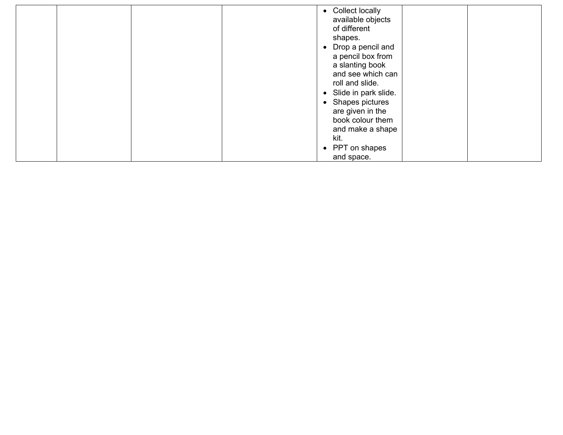|  | • Collect locally<br>available objects<br>of different<br>shapes.<br>• Drop a pencil and<br>a pencil box from<br>a slanting book<br>and see which can<br>roll and slide.<br>• Slide in park slide.<br>• Shapes pictures<br>are given in the<br>book colour them<br>and make a shape<br>kit. |  |
|--|---------------------------------------------------------------------------------------------------------------------------------------------------------------------------------------------------------------------------------------------------------------------------------------------|--|
|  | • PPT on shapes<br>and space.                                                                                                                                                                                                                                                               |  |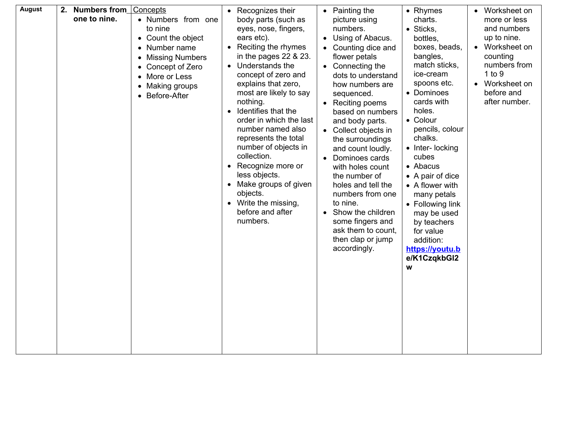| <b>August</b> | 2. Numbers from<br>Concepts<br>one to nine.<br>• Numbers from one<br>to nine<br>• Count the object<br>Number name<br>$\bullet$<br><b>Missing Numbers</b><br>$\bullet$<br>Concept of Zero<br>$\bullet$<br>More or Less<br>$\bullet$<br>Making groups<br>$\bullet$<br>Before-After | • Recognizes their<br>body parts (such as<br>eyes, nose, fingers,<br>ears etc).<br>Reciting the rhymes<br>$\bullet$<br>in the pages $22$ & $23$ .<br>Understands the<br>$\bullet$<br>concept of zero and<br>explains that zero,<br>most are likely to say<br>nothing.<br>Identifies that the<br>$\bullet$<br>order in which the last<br>number named also<br>represents the total<br>number of objects in<br>collection.<br>• Recognize more or<br>less objects.<br>Make groups of given<br>objects.<br>• Write the missing,<br>before and after<br>numbers. | Painting the<br>picture using<br>numbers.<br>Using of Abacus.<br>Counting dice and<br>flower petals<br>Connecting the<br>dots to understand<br>how numbers are<br>sequenced.<br>Reciting poems<br>based on numbers<br>and body parts.<br>Collect objects in<br>the surroundings<br>and count loudly.<br>Dominoes cards<br>with holes count<br>the number of<br>holes and tell the<br>numbers from one<br>to nine.<br>Show the children<br>some fingers and<br>ask them to count,<br>then clap or jump<br>accordingly. | • Rhymes<br>charts.<br>• Sticks,<br>bottles.<br>boxes, beads,<br>bangles,<br>match sticks,<br>ice-cream<br>spoons etc.<br>• Dominoes<br>cards with<br>holes.<br>• Colour<br>pencils, colour<br>chalks.<br>• Inter- locking<br>cubes<br>• Abacus<br>• A pair of dice<br>• A flower with<br>many petals<br>• Following link<br>may be used<br>by teachers<br>for value<br>addition:<br>https://youtu.b<br>e/K1CzqkbGl2<br>W | Worksheet on<br>$\bullet$<br>more or less<br>and numbers<br>up to nine.<br>Worksheet on<br>$\bullet$<br>counting<br>numbers from<br>1 to 9<br>Worksheet on<br>$\bullet$<br>before and<br>after number. |
|---------------|----------------------------------------------------------------------------------------------------------------------------------------------------------------------------------------------------------------------------------------------------------------------------------|--------------------------------------------------------------------------------------------------------------------------------------------------------------------------------------------------------------------------------------------------------------------------------------------------------------------------------------------------------------------------------------------------------------------------------------------------------------------------------------------------------------------------------------------------------------|-----------------------------------------------------------------------------------------------------------------------------------------------------------------------------------------------------------------------------------------------------------------------------------------------------------------------------------------------------------------------------------------------------------------------------------------------------------------------------------------------------------------------|---------------------------------------------------------------------------------------------------------------------------------------------------------------------------------------------------------------------------------------------------------------------------------------------------------------------------------------------------------------------------------------------------------------------------|--------------------------------------------------------------------------------------------------------------------------------------------------------------------------------------------------------|
|---------------|----------------------------------------------------------------------------------------------------------------------------------------------------------------------------------------------------------------------------------------------------------------------------------|--------------------------------------------------------------------------------------------------------------------------------------------------------------------------------------------------------------------------------------------------------------------------------------------------------------------------------------------------------------------------------------------------------------------------------------------------------------------------------------------------------------------------------------------------------------|-----------------------------------------------------------------------------------------------------------------------------------------------------------------------------------------------------------------------------------------------------------------------------------------------------------------------------------------------------------------------------------------------------------------------------------------------------------------------------------------------------------------------|---------------------------------------------------------------------------------------------------------------------------------------------------------------------------------------------------------------------------------------------------------------------------------------------------------------------------------------------------------------------------------------------------------------------------|--------------------------------------------------------------------------------------------------------------------------------------------------------------------------------------------------------|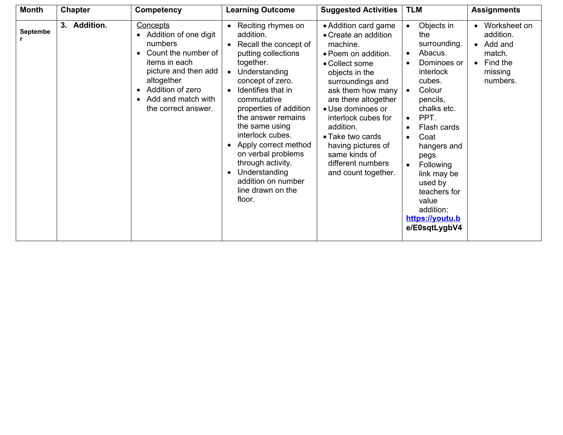| <b>Month</b> | <b>Chapter</b> | Competency                                                                                                                                                                                                            | <b>Learning Outcome</b>                                                                                                                                                                                                                                                                                                                                                                                                                                                             | <b>Suggested Activities</b>                                                                                                                                                                                                                                                                                                                          | <b>TLM</b>                                                                                                                                                                                                                                                                                                                | <b>Assignments</b>                                                                                          |
|--------------|----------------|-----------------------------------------------------------------------------------------------------------------------------------------------------------------------------------------------------------------------|-------------------------------------------------------------------------------------------------------------------------------------------------------------------------------------------------------------------------------------------------------------------------------------------------------------------------------------------------------------------------------------------------------------------------------------------------------------------------------------|------------------------------------------------------------------------------------------------------------------------------------------------------------------------------------------------------------------------------------------------------------------------------------------------------------------------------------------------------|---------------------------------------------------------------------------------------------------------------------------------------------------------------------------------------------------------------------------------------------------------------------------------------------------------------------------|-------------------------------------------------------------------------------------------------------------|
| Septembe     | 3. Addition.   | Concepts<br>Addition of one digit<br>numbers<br>Count the number of<br>items in each<br>picture and then add<br>altogether<br>Addition of zero<br>$\bullet$<br>Add and match with<br>$\bullet$<br>the correct answer. | Reciting rhymes on<br>$\bullet$<br>addition.<br>Recall the concept of<br>$\bullet$<br>putting collections<br>together.<br>Understanding<br>$\bullet$<br>concept of zero.<br>Identifies that in<br>$\bullet$<br>commutative<br>properties of addition<br>the answer remains<br>the same using<br>interlock cubes.<br>Apply correct method<br>$\bullet$<br>on verbal problems<br>through activity.<br>Understanding<br>$\bullet$<br>addition on number<br>line drawn on the<br>floor. | • Addition card game<br>• Create an addition<br>machine.<br>• Poem on addition.<br>• Collect some<br>objects in the<br>surroundings and<br>ask them how many<br>are there altogether<br>• Use dominoes or<br>interlock cubes for<br>addition.<br>• Take two cards<br>having pictures of<br>same kinds of<br>different numbers<br>and count together. | Objects in<br>the<br>surrounding.<br>Abacus.<br>$\bullet$<br>Dominoes or<br>interlock<br>cubes.<br>Colour<br>pencils,<br>chalks etc.<br>PPT.<br>$\bullet$<br>Flash cards<br>Coat<br>hangers and<br>pegs.<br>Following<br>link may be<br>used by<br>teachers for<br>value<br>addition:<br>https://youtu.b<br>e/E0sqtLygbV4 | Worksheet on<br>addition.<br>Add and<br>$\bullet$<br>match.<br>Find the<br>$\bullet$<br>missing<br>numbers. |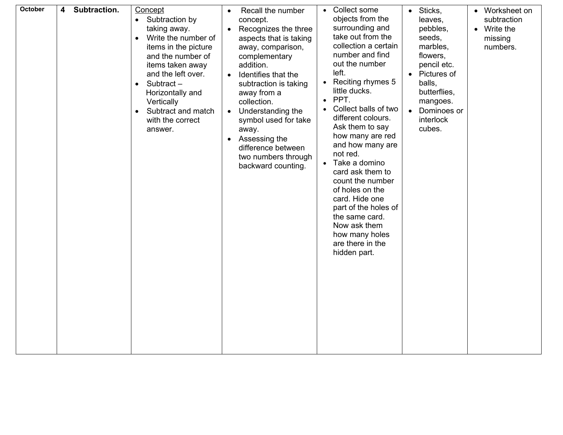| <b>October</b> | Subtraction.<br>4 | Concept<br>Subtraction by<br>$\bullet$<br>taking away.<br>Write the number of<br>$\bullet$<br>items in the picture<br>and the number of<br>items taken away<br>and the left over.<br>Subtract-<br>$\bullet$<br>Horizontally and<br>Vertically<br>Subtract and match<br>$\bullet$<br>with the correct<br>answer. | Recall the number<br>$\bullet$<br>concept.<br>Recognizes the three<br>$\bullet$<br>aspects that is taking<br>away, comparison,<br>complementary<br>addition.<br>Identifies that the<br>$\bullet$<br>subtraction is taking<br>away from a<br>collection.<br>Understanding the<br>$\bullet$<br>symbol used for take<br>away.<br>Assessing the<br>difference between<br>two numbers through<br>backward counting. | Collect some<br>objects from the<br>surrounding and<br>take out from the<br>collection a certain<br>number and find<br>out the number<br>left.<br>Reciting rhymes 5<br>little ducks.<br>PPT.<br>$\bullet$<br>Collect balls of two<br>different colours.<br>Ask them to say<br>how many are red<br>and how many are<br>not red.<br>Take a domino<br>$\bullet$<br>card ask them to<br>count the number<br>of holes on the<br>card. Hide one<br>part of the holes of<br>the same card.<br>Now ask them<br>how many holes<br>are there in the<br>hidden part. | Sticks,<br>leaves,<br>pebbles,<br>seeds,<br>marbles,<br>flowers,<br>pencil etc.<br>Pictures of<br>balls,<br>butterflies,<br>mangoes.<br>Dominoes or<br>interlock<br>cubes. | Worksheet on<br>$\bullet$<br>subtraction<br>• Write the<br>missing<br>numbers. |
|----------------|-------------------|-----------------------------------------------------------------------------------------------------------------------------------------------------------------------------------------------------------------------------------------------------------------------------------------------------------------|----------------------------------------------------------------------------------------------------------------------------------------------------------------------------------------------------------------------------------------------------------------------------------------------------------------------------------------------------------------------------------------------------------------|-----------------------------------------------------------------------------------------------------------------------------------------------------------------------------------------------------------------------------------------------------------------------------------------------------------------------------------------------------------------------------------------------------------------------------------------------------------------------------------------------------------------------------------------------------------|----------------------------------------------------------------------------------------------------------------------------------------------------------------------------|--------------------------------------------------------------------------------|
|----------------|-------------------|-----------------------------------------------------------------------------------------------------------------------------------------------------------------------------------------------------------------------------------------------------------------------------------------------------------------|----------------------------------------------------------------------------------------------------------------------------------------------------------------------------------------------------------------------------------------------------------------------------------------------------------------------------------------------------------------------------------------------------------------|-----------------------------------------------------------------------------------------------------------------------------------------------------------------------------------------------------------------------------------------------------------------------------------------------------------------------------------------------------------------------------------------------------------------------------------------------------------------------------------------------------------------------------------------------------------|----------------------------------------------------------------------------------------------------------------------------------------------------------------------------|--------------------------------------------------------------------------------|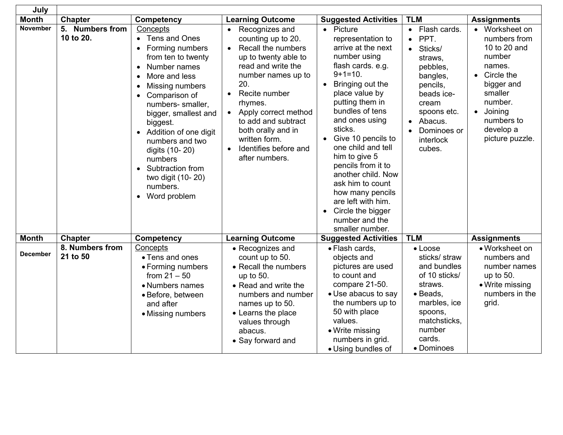| July            |                              |                                                                                                                                                                                                                                                                                                                                                                                                        |                                                                                                                                                                                                                                                                                                                                                          |                                                                                                                                                                                                                                                                                                                                                                                                                                                       |                                                                                                                                                                             |                                                                                                                                                                                              |
|-----------------|------------------------------|--------------------------------------------------------------------------------------------------------------------------------------------------------------------------------------------------------------------------------------------------------------------------------------------------------------------------------------------------------------------------------------------------------|----------------------------------------------------------------------------------------------------------------------------------------------------------------------------------------------------------------------------------------------------------------------------------------------------------------------------------------------------------|-------------------------------------------------------------------------------------------------------------------------------------------------------------------------------------------------------------------------------------------------------------------------------------------------------------------------------------------------------------------------------------------------------------------------------------------------------|-----------------------------------------------------------------------------------------------------------------------------------------------------------------------------|----------------------------------------------------------------------------------------------------------------------------------------------------------------------------------------------|
| <b>Month</b>    | <b>Chapter</b>               | <b>Competency</b>                                                                                                                                                                                                                                                                                                                                                                                      | <b>Learning Outcome</b>                                                                                                                                                                                                                                                                                                                                  | <b>Suggested Activities</b>                                                                                                                                                                                                                                                                                                                                                                                                                           | <b>TLM</b>                                                                                                                                                                  | <b>Assignments</b>                                                                                                                                                                           |
| <b>November</b> | 5. Numbers from<br>10 to 20. | Concepts<br>• Tens and Ones<br>Forming numbers<br>from ten to twenty<br>Number names<br>$\bullet$<br>More and less<br>Missing numbers<br>$\bullet$<br>Comparison of<br>$\bullet$<br>numbers- smaller,<br>bigger, smallest and<br>biggest.<br>• Addition of one digit<br>numbers and two<br>digits (10-20)<br>numbers<br>Subtraction from<br>$\bullet$<br>two digit (10-20)<br>numbers.<br>Word problem | • Recognizes and<br>counting up to 20.<br>Recall the numbers<br>$\bullet$<br>up to twenty able to<br>read and write the<br>number names up to<br>20.<br>Recite number<br>$\bullet$<br>rhymes.<br>Apply correct method<br>$\bullet$<br>to add and subtract<br>both orally and in<br>written form.<br>Identifies before and<br>$\bullet$<br>after numbers. | • Picture<br>representation to<br>arrive at the next<br>number using<br>flash cards. e.g.<br>$9+1=10$ .<br>Bringing out the<br>place value by<br>putting them in<br>bundles of tens<br>and ones using<br>sticks.<br>• Give 10 pencils to<br>one child and tell<br>him to give 5<br>pencils from it to<br>another child. Now<br>ask him to count<br>how many pencils<br>are left with him.<br>• Circle the bigger<br>number and the<br>smaller number. | • Flash cards.<br>PPT.<br>• Sticks/<br>straws,<br>pebbles,<br>bangles,<br>pencils,<br>beads ice-<br>cream<br>spoons etc.<br>• Abacus.<br>Dominoes or<br>interlock<br>cubes. | • Worksheet on<br>numbers from<br>10 to 20 and<br>number<br>names.<br>Circle the<br>$\bullet$<br>bigger and<br>smaller<br>number.<br>· Joining<br>numbers to<br>develop a<br>picture puzzle. |
| <b>Month</b>    | Chapter                      | Competency                                                                                                                                                                                                                                                                                                                                                                                             | <b>Learning Outcome</b>                                                                                                                                                                                                                                                                                                                                  | <b>Suggested Activities</b>                                                                                                                                                                                                                                                                                                                                                                                                                           | <b>TLM</b>                                                                                                                                                                  | <b>Assignments</b>                                                                                                                                                                           |
| <b>December</b> | 8. Numbers from<br>21 to 50  | Concepts<br>• Tens and ones<br>• Forming numbers<br>from $21 - 50$<br>• Numbers names<br>• Before, between<br>and after<br>• Missing numbers                                                                                                                                                                                                                                                           | • Recognizes and<br>count up to 50.<br>• Recall the numbers<br>up to 50.<br>• Read and write the<br>numbers and number<br>names up to 50.<br>• Learns the place<br>values through<br>abacus.<br>• Say forward and                                                                                                                                        | · Flash cards,<br>objects and<br>pictures are used<br>to count and<br>compare 21-50.<br>• Use abacus to say<br>the numbers up to<br>50 with place<br>values.<br>• Write missing<br>numbers in grid.<br>• Using bundles of                                                                                                                                                                                                                             | $\bullet$ Loose<br>sticks/ straw<br>and bundles<br>of 10 sticks/<br>straws.<br>• Beads,<br>marbles, ice<br>spoons,<br>matchsticks.<br>number<br>cards.<br>• Dominoes        | • Worksheet on<br>numbers and<br>number names<br>up to 50.<br>• Write missing<br>numbers in the<br>grid.                                                                                     |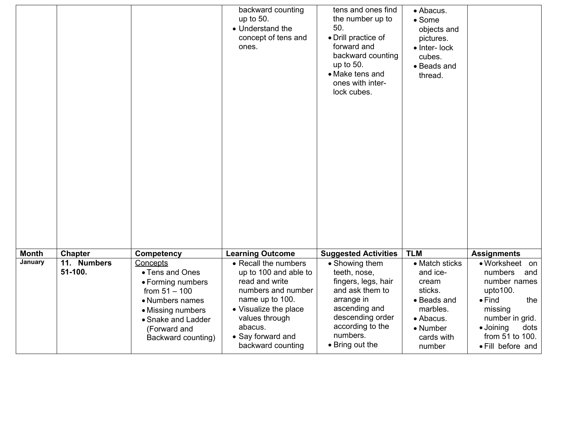|              |                        |                                                                                                                                                                         | backward counting<br>up to 50.<br>• Understand the<br>concept of tens and<br>ones.                                                                                                                       | tens and ones find<br>the number up to<br>50.<br>· Drill practice of<br>forward and<br>backward counting<br>up to 50.<br>• Make tens and<br>ones with inter-<br>lock cubes.    | · Abacus.<br>• Some<br>objects and<br>pictures.<br>$\bullet$ Inter-lock<br>cubes.<br>• Beads and<br>thread.                |                                                                                                                                                                                  |
|--------------|------------------------|-------------------------------------------------------------------------------------------------------------------------------------------------------------------------|----------------------------------------------------------------------------------------------------------------------------------------------------------------------------------------------------------|--------------------------------------------------------------------------------------------------------------------------------------------------------------------------------|----------------------------------------------------------------------------------------------------------------------------|----------------------------------------------------------------------------------------------------------------------------------------------------------------------------------|
| <b>Month</b> | <b>Chapter</b>         | <b>Competency</b>                                                                                                                                                       | <b>Learning Outcome</b>                                                                                                                                                                                  | <b>Suggested Activities</b>                                                                                                                                                    | <b>TLM</b>                                                                                                                 | <b>Assignments</b>                                                                                                                                                               |
| January      | 11. Numbers<br>51-100. | Concepts<br>• Tens and Ones<br>• Forming numbers<br>from $51 - 100$<br>• Numbers names<br>• Missing numbers<br>• Snake and Ladder<br>(Forward and<br>Backward counting) | • Recall the numbers<br>up to 100 and able to<br>read and write<br>numbers and number<br>name up to 100.<br>• Visualize the place<br>values through<br>abacus.<br>• Say forward and<br>backward counting | • Showing them<br>teeth, nose,<br>fingers, legs, hair<br>and ask them to<br>arrange in<br>ascending and<br>descending order<br>according to the<br>numbers.<br>• Bring out the | • Match sticks<br>and ice-<br>cream<br>sticks.<br>• Beads and<br>marbles.<br>• Abacus.<br>• Number<br>cards with<br>number | • Worksheet on<br>numbers<br>and<br>number names<br>upto100.<br>the<br>$\bullet$ Find<br>missing<br>number in grid.<br>· Joining<br>dots<br>from 51 to 100.<br>• Fill before and |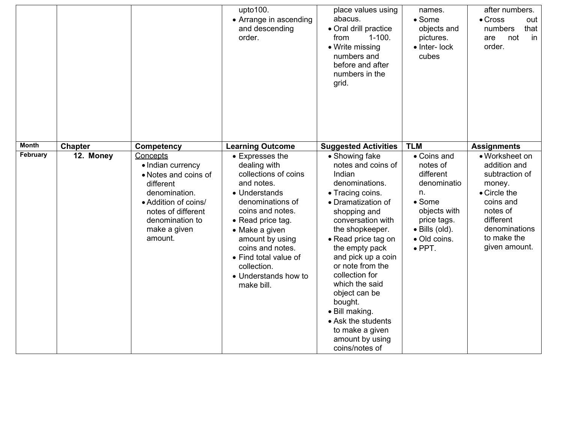|                          |                             |                                                                                                                                                                                               | upto100.<br>• Arrange in ascending<br>and descending<br>order.                                                                                                                                                                                                                                                        | place values using<br>abacus.<br>• Oral drill practice<br>$1 - 100.$<br>from<br>• Write missing<br>numbers and<br>before and after<br>numbers in the<br>grid.                                                                                                                                                                                                                                                                                        | names.<br>$\bullet$ Some<br>objects and<br>pictures.<br>• Inter- lock<br>cubes                                                                                               | after numbers.<br>$\bullet$ Cross<br>out<br>that<br>numbers<br>not<br>in<br>are<br>order.                                                                                               |
|--------------------------|-----------------------------|-----------------------------------------------------------------------------------------------------------------------------------------------------------------------------------------------|-----------------------------------------------------------------------------------------------------------------------------------------------------------------------------------------------------------------------------------------------------------------------------------------------------------------------|------------------------------------------------------------------------------------------------------------------------------------------------------------------------------------------------------------------------------------------------------------------------------------------------------------------------------------------------------------------------------------------------------------------------------------------------------|------------------------------------------------------------------------------------------------------------------------------------------------------------------------------|-----------------------------------------------------------------------------------------------------------------------------------------------------------------------------------------|
| <b>Month</b><br>February | <b>Chapter</b><br>12. Money | Competency<br>Concepts<br>• Indian currency<br>• Notes and coins of<br>different<br>denomination.<br>• Addition of coins/<br>notes of different<br>denomination to<br>make a given<br>amount. | <b>Learning Outcome</b><br>• Expresses the<br>dealing with<br>collections of coins<br>and notes.<br>• Understands<br>denominations of<br>coins and notes.<br>• Read price tag.<br>• Make a given<br>amount by using<br>coins and notes.<br>• Find total value of<br>collection.<br>• Understands how to<br>make bill. | <b>Suggested Activities</b><br>• Showing fake<br>notes and coins of<br>Indian<br>denominations.<br>• Tracing coins.<br>• Dramatization of<br>shopping and<br>conversation with<br>the shopkeeper.<br>• Read price tag on<br>the empty pack<br>and pick up a coin<br>or note from the<br>collection for<br>which the said<br>object can be<br>bought.<br>· Bill making.<br>• Ask the students<br>to make a given<br>amount by using<br>coins/notes of | <b>TLM</b><br>• Coins and<br>notes of<br>different<br>denominatio<br>n.<br>• Some<br>objects with<br>price tags.<br>$\bullet$ Bills (old).<br>· Old coins.<br>$\bullet$ PPT. | <b>Assignments</b><br>• Worksheet on<br>addition and<br>subtraction of<br>money.<br>• Circle the<br>coins and<br>notes of<br>different<br>denominations<br>to make the<br>given amount. |